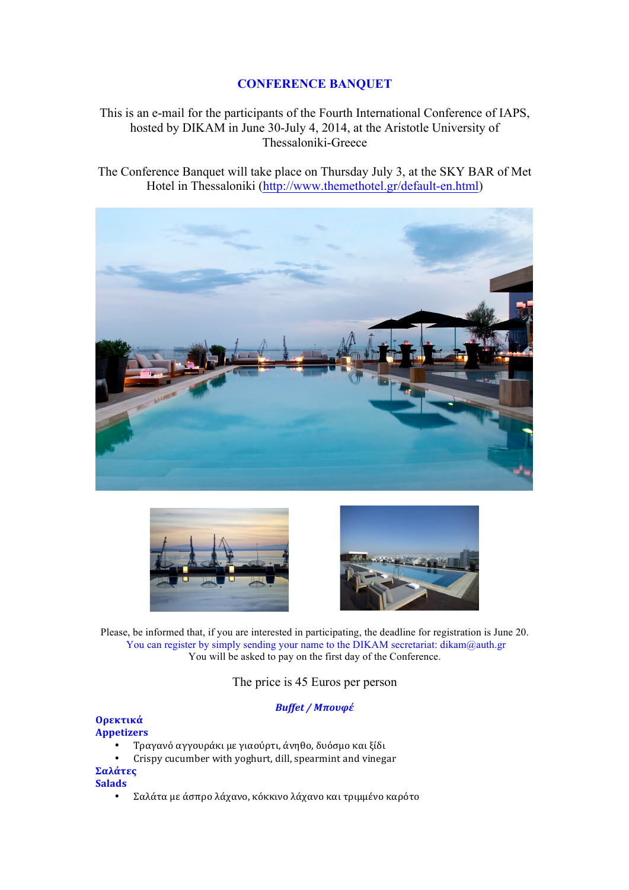## **CONFERENCE BANQUET**

This is an e-mail for the participants of the Fourth International Conference of IAPS, hosted by DIKAM in June 30-July 4, 2014, at the Aristotle University of Thessaloniki-Greece

The Conference Banquet will take place on Τhursday July 3, at the SKY BAR of Met Hotel in Thessaloniki (http://www.themethotel.gr/default-en.html)







Please, be informed that, if you are interested in participating, the deadline for registration is June 20. You can register by simply sending your name to the DIKAM secretariat: dikam@auth.gr You will be asked to pay on the first day of the Conference.

The price is 45 Euros per person

#### *Buffet / Μπουφέ*

#### **Ορεκτικά Appetizers**

- Τραγανό αγγουράκι με γιαούρτι, άνηθο, δυόσμο και ξίδι
- Crispy cucumber with yoghurt, dill, spearmint and vinegar

## Σαλάτες

**Salads** 

• Σαλάτα με άσπρο λάχανο, κόκκινο λάχανο και τριμμένο καρότο